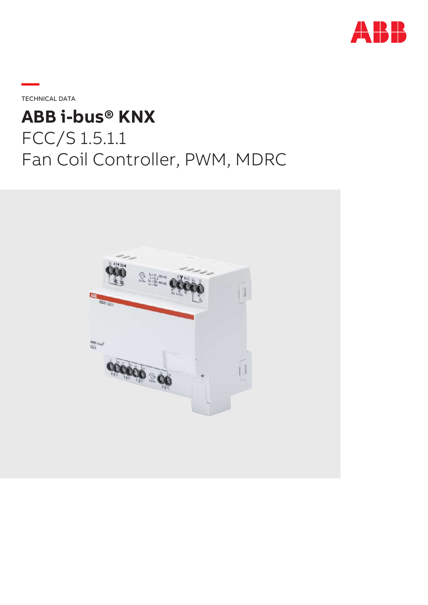

TECHNICAL DATA

**—**

# **ABB i-bus® KNX** FCC/S 1.5.1.1 Fan Coil Controller, PWM, MDRC

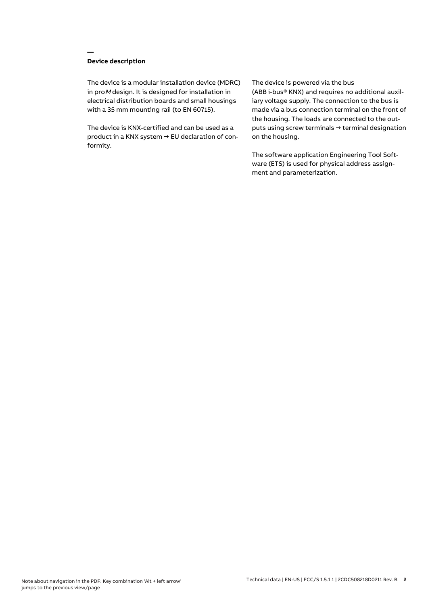# **Device description**

**—**

The device is a modular installation device (MDRC) in proM design. It is designed for installation in electrical distribution boards and small housings with a 35 mm mounting rail (to EN 60715).

The device is KNX-certified and can be used as a product in a KNX system → EU declaration of conformity.

## The device is powered via the bus

(ABB i-bus® KNX) and requires no additional auxiliary voltage supply. The connection to the bus is made via a bus connection terminal on the front of the housing. The loads are connected to the outputs using screw terminals → terminal designation on the housing.

The software application Engineering Tool Software (ETS) is used for physical address assignment and parameterization.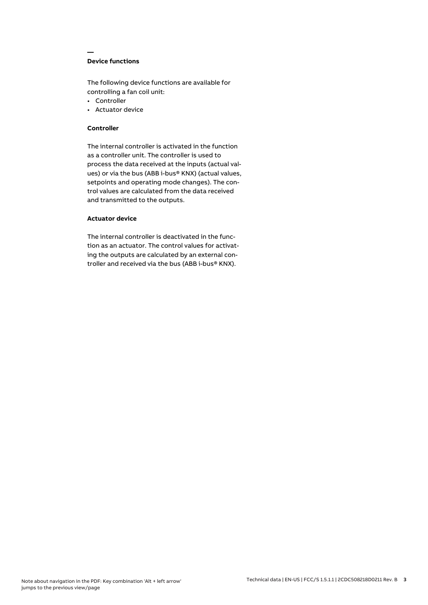# **Device functions**

**—**

The following device functions are available for controlling a fan coil unit:

- Controller
- Actuator device

## **Controller**

The internal controller is activated in the function as a controller unit. The controller is used to process the data received at the inputs (actual values) or via the bus (ABB i-bus® KNX) (actual values, setpoints and operating mode changes). The control values are calculated from the data received and transmitted to the outputs.

# **Actuator device**

The internal controller is deactivated in the function as an actuator. The control values for activating the outputs are calculated by an external controller and received via the bus (ABB i-bus® KNX).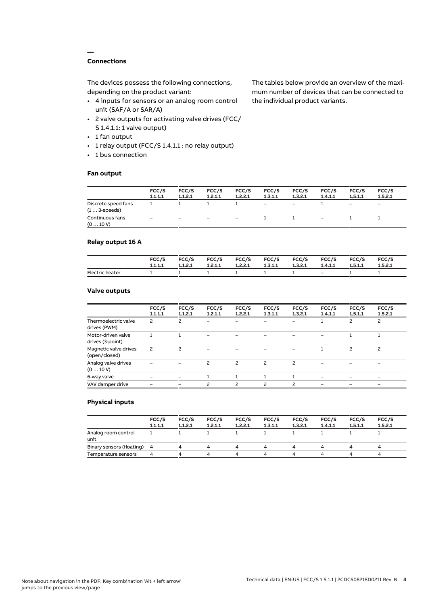# **Connections**

**—**

The devices possess the following connections, depending on the product variant:

- 4 inputs for sensors or an analog room control unit (SAF/A or SAR/A)
- 2 valve outputs for activating valve drives (FCC/ S 1.4.1.1: 1 valve output)
- 1 fan output
- 1 relay output (FCC/S 1.4.1.1 : no relay output)
- 1 bus connection

## **Fan output**

The tables below provide an overview of the maximum number of devices that can be connected to the individual product variants.

|                                               | FCC/S<br>1.1.1.1  | FCC/S<br>1.1.2.1 | FCC/S<br>1.2.1.1         | FCC/S<br>1.2.2.1         | FCC/S<br>1.3.1.1  | FCC/S<br>1.3.2.1  | FCC/S<br>1.4.1.1         | FCC/S<br>1.5.1.1             | FCC/S<br>1.5.2.1         |
|-----------------------------------------------|-------------------|------------------|--------------------------|--------------------------|-------------------|-------------------|--------------------------|------------------------------|--------------------------|
| Discrete speed fans<br>$(1 \ldots 3$ -speeds) |                   |                  |                          |                          | $\qquad \qquad -$ | $\qquad \qquad -$ |                          | $\qquad \qquad \blacksquare$ | $\overline{\phantom{0}}$ |
| Continuous fans<br>(010V)                     | $\qquad \qquad -$ | -                | $\overline{\phantom{m}}$ | $\overline{\phantom{0}}$ |                   |                   | $\overline{\phantom{0}}$ |                              |                          |

# **Relay output 16 A**

|                 | FCC/S   | FCC/S   | FCC/S   | <b>FCC/S</b> | FCC/S   | <b>FCC/S</b> | FCC/S   | FCC/S   | FCC/S   |
|-----------------|---------|---------|---------|--------------|---------|--------------|---------|---------|---------|
|                 | 1.1.1.1 | 1.1.2.1 | 1.2.1.1 | 1.2.2.1      | 1.3.1.1 | 1.3.2.1      | 1.4.1.1 | 1.5.1.1 | 1.5.2.1 |
| Electric heater |         |         |         |              |         |              | $-$     |         |         |

# **Valve outputs**

|                                        | FCC/S<br>1.1.1.1 | FCC/S<br>1.1.2.1         | FCC/S<br>1.2.1.1 | FCC/S<br>1.2.2.1 | FCC/S<br>1.3.1.1 | FCC/S<br>1.3.2.1 | FCC/S<br>1.4.1.1 | FCC/S<br>1.5.1.1 | FCC/S<br>1.5.2.1 |  |
|----------------------------------------|------------------|--------------------------|------------------|------------------|------------------|------------------|------------------|------------------|------------------|--|
| Thermoelectric valve<br>drives (PWM)   | 2                | 2                        | -                |                  |                  |                  |                  | 2                | $\overline{c}$   |  |
| Motor-driven valve<br>drives (3-point) |                  |                          |                  |                  |                  |                  |                  |                  |                  |  |
| Magnetic valve drives<br>(open/closed) | 2                | $\overline{\phantom{0}}$ |                  |                  |                  |                  |                  | $\overline{c}$   | $\overline{c}$   |  |
| Analog valve drives<br>(010V)          |                  |                          | 2                | 2                | $\overline{c}$   | 2                |                  |                  |                  |  |
| 6-way valve                            |                  |                          |                  |                  |                  |                  |                  |                  | $\qquad \qquad$  |  |
| VAV damper drive                       |                  |                          | ς                | ς                | $\mathcal{P}$    | $\mathcal{P}$    |                  |                  |                  |  |
|                                        |                  |                          |                  |                  |                  |                  |                  |                  |                  |  |

## **Physical inputs**

|                             | FCC/S<br>1.1.1.1 | FCC/S<br>1.1.2.1 | FCC/S<br>1.2.1.1 | FCC/S<br>1.2.2.1 | FCC/S<br>1.3.1.1 | FCC/S<br>1.3.2.1 | FCC/S<br>1.4.1.1 | FCC/S<br>1.5.1.1 | FCC/S<br>1.5.2.1 |  |
|-----------------------------|------------------|------------------|------------------|------------------|------------------|------------------|------------------|------------------|------------------|--|
| Analog room control<br>unit |                  |                  |                  |                  |                  |                  |                  |                  |                  |  |
| Binary sensors (floating) 4 |                  |                  | 4                | 4                | 4                | 4                |                  | Δ.               | 4                |  |
| Temperature sensors         | 4                |                  | Δ                | Δ                | ▵                | Δ.               |                  | Δ                | $\mu$            |  |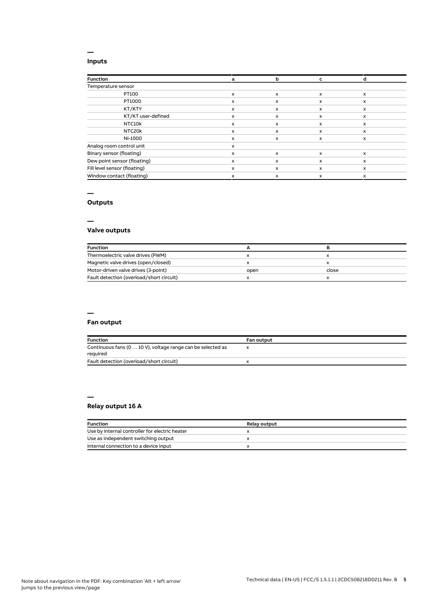# **Inputs**

**—**

| <b>Function</b>              | a | b | c                         |              |
|------------------------------|---|---|---------------------------|--------------|
| Temperature sensor           |   |   |                           |              |
| PT100                        | x | X | $\boldsymbol{\mathsf{x}}$ | $\mathsf{x}$ |
| PT1000                       | x | X | x                         | x            |
| KT/KTY                       | x | x | x                         | x            |
| KT/KT user-defined           | x | x | X                         | $\mathsf{x}$ |
| NTC10k                       | x | x | x                         | x            |
| NTC20k                       | x | x | x                         | x            |
| NI-1000                      | x | x | x                         | x            |
| Analog room control unit     | x |   |                           |              |
| Binary sensor (floating)     | x | X | x                         | $\mathsf{x}$ |
| Dew point sensor (floating)  | x | x | X                         | x            |
| Fill level sensor (floating) | x | X | x                         | $\mathsf{x}$ |
| Window contact (floating)    | x | x | X                         | x            |

## **—**

# **Outputs**

**—**

# **Valve outputs**

| <b>Function</b>                          |      |       |  |
|------------------------------------------|------|-------|--|
| Thermoelectric valve drives (PWM)        |      |       |  |
| Magnetic valve drives (open/closed)      |      |       |  |
| Motor-driven valve drives (3-point)      | open | close |  |
| Fault detection (overload/short circuit) |      |       |  |

#### **—**

# **Fan output**

| <b>Function</b>                                                         | <b>Fan output</b> |
|-------------------------------------------------------------------------|-------------------|
| Continuous fans (0  10 V), voltage range can be selected as<br>required |                   |
| Fault detection (overload/short circuit)                                |                   |

## **— Relay output 16 A**

| <b>Function</b>                                | <b>Relay output</b> |
|------------------------------------------------|---------------------|
| Use by internal controller for electric heater |                     |
| Use as independent switching output            |                     |
| Internal connection to a device input          |                     |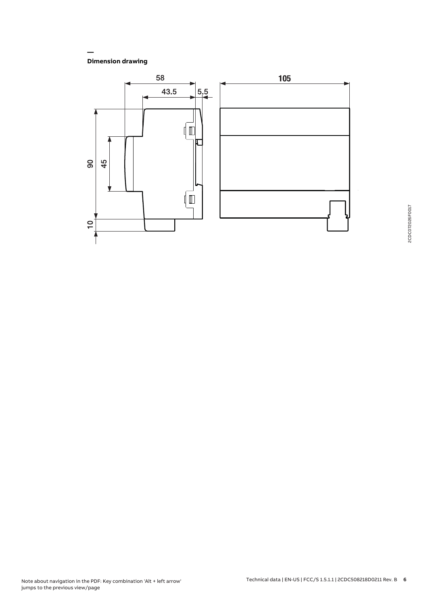**Dimension drawing**

**—**

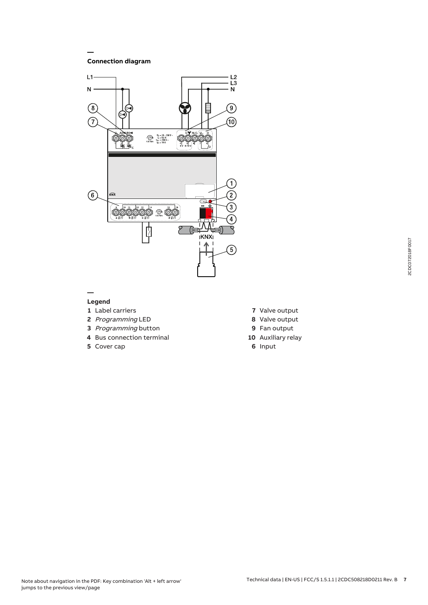**Connection diagram**

**—**



## **— Legend**

- **1** Label carriers
- **2** Programming LED
- **3** Programming button
- **4** Bus connection terminal
- **5** Cover cap
- **7** Valve output
- **8** Valve output
- **9** Fan output
- **10** Auxiliary relay
- **6** Input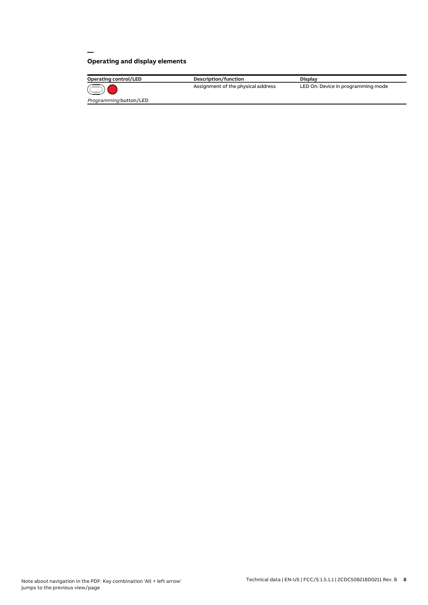# **Operating and display elements**

**—**

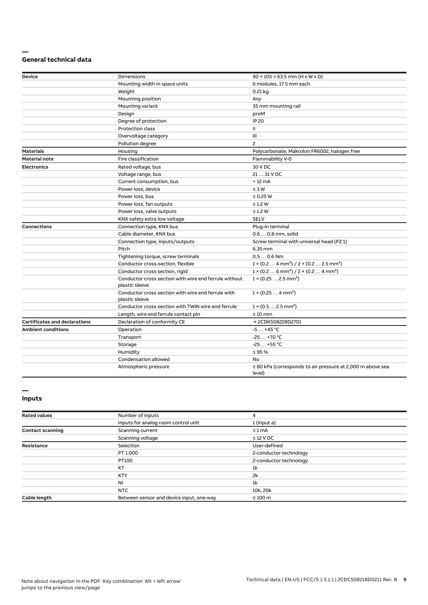## **— General technical data**

| Device                               | <b>Dimensions</b>                                                       | $90 \times 105 \times 63.5$ mm (H x W x D)                                      |
|--------------------------------------|-------------------------------------------------------------------------|---------------------------------------------------------------------------------|
|                                      | Mounting width in space units                                           | 6 modules, 17.5 mm each                                                         |
|                                      | Weight                                                                  | $0.21$ kg                                                                       |
|                                      | Mounting position                                                       | Any                                                                             |
|                                      | Mounting variant                                                        | 35 mm mounting rail                                                             |
|                                      | Design                                                                  | proM                                                                            |
|                                      | Degree of protection                                                    | <b>IP 20</b>                                                                    |
|                                      | <b>Protection class</b>                                                 | Ш                                                                               |
|                                      | Overvoltage category                                                    | Ш                                                                               |
|                                      | Pollution degree                                                        | 2                                                                               |
| <b>Materials</b>                     | Housing                                                                 | Polycarbonate, Makrolon FR6002, halogen free                                    |
| <b>Material note</b>                 | Fire classification                                                     | Flammability V-0                                                                |
| <b>Electronics</b>                   | Rated voltage, bus                                                      | 30 V DC                                                                         |
|                                      | Voltage range, bus                                                      | 21  31 V DC                                                                     |
|                                      | Current consumption, bus                                                | $< 12 \text{ mA}$                                                               |
|                                      | Power loss, device                                                      | $\leq 3 W$                                                                      |
|                                      | Power loss, bus                                                         | $\leq$ 0.25 W                                                                   |
|                                      | Power loss, fan outputs                                                 | $\leq$ 1.2 W                                                                    |
|                                      | Power loss, valve outputs                                               | $\leq$ 1.2 W                                                                    |
|                                      | KNX safety extra low voltage                                            | <b>SELV</b>                                                                     |
| <b>Connections</b>                   | Connection type, KNX bus                                                | Plug-in terminal                                                                |
|                                      | Cable diameter, KNX bus                                                 | 0.6  0.8 mm, solid                                                              |
|                                      | Connection type, inputs/outputs                                         | Screw terminal with universal head (PZ 1)                                       |
|                                      | Pitch                                                                   | 6.35 mm                                                                         |
|                                      | Tightening torque, screw terminals                                      | $0.50.6$ Nm                                                                     |
|                                      | Conductor cross-section, flexible                                       | $1 \times (0.2 \ldots 4 \text{ mm}^2) / 2 \times (0.2 \ldots 2.5 \text{ mm}^2)$ |
|                                      | Conductor cross section, rigid                                          | $1 \times (0.2 \ldots 6 \text{ mm}^2) / 2 \times (0.2 \ldots 4 \text{ mm}^2)$   |
|                                      | Conductor cross section with wire end ferrule without<br>plastic sleeve | $1 \times (0.252.5 \text{ mm}^2)$                                               |
|                                      | Conductor cross section with wire end ferrule with<br>plastic sleeve    | $1 \times (0.254 \text{ mm}^2)$                                                 |
|                                      | Conductor cross section with TWIN wire end ferrule                      | $1 \times (0.52.5)$ mm <sup>2</sup> )                                           |
|                                      | Length, wire end ferrule contact pin                                    | $\geq 10$ mm                                                                    |
| <b>Certificates and declarations</b> | Declaration of conformity CE                                            | → 2CDK508228D2701                                                               |
| <b>Ambient conditions</b>            | Operation                                                               | $-5+45$ °C                                                                      |
|                                      | Transport                                                               | $-25+70$ °C                                                                     |
|                                      | Storage                                                                 | $-25+55$ °C                                                                     |
|                                      | Humidity                                                                | $\leq 95 \%$                                                                    |
|                                      | Condensation allowed                                                    | No                                                                              |
|                                      | Atmospheric pressure                                                    | $\geq$ 80 kPa (corresponds to air pressure at 2,000 m above sea<br>level)       |

## **Inputs**

**—**

| <b>Rated values</b>     | Number of inputs                         | 4                      |  |
|-------------------------|------------------------------------------|------------------------|--|
|                         | Inputs for analog room control unit      | 1 (input a)            |  |
| <b>Contact scanning</b> | Scanning current                         | $\leq 1$ mA            |  |
|                         | Scanning voltage                         | $\leq$ 12 V DC         |  |
| <b>Resistance</b>       | Selection                                | User-defined           |  |
|                         | PT 1.000                                 | 2-conductor technology |  |
|                         | PT100                                    | 2-conductor technology |  |
|                         | KT                                       | 1 <sup>k</sup>         |  |
|                         | <b>KTY</b>                               | 2k                     |  |
|                         | NI                                       | 1 <sup>k</sup>         |  |
|                         | <b>NTC</b>                               | 10k, 20k               |  |
| Cable length            | Between sensor and device input, one-way | $\leq 100$ m           |  |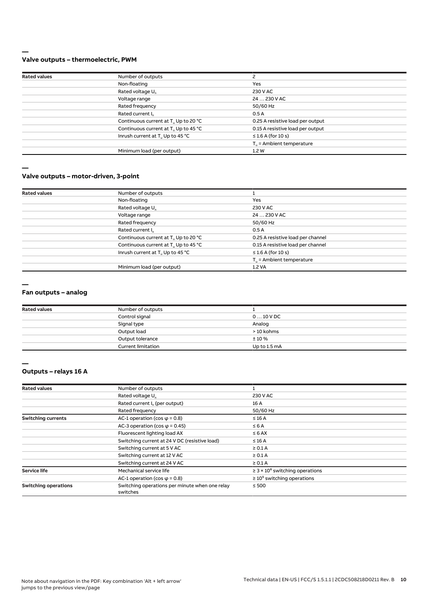## **— Valve outputs – thermoelectric, PWM**

| <b>Rated values</b> | Number of outputs                                |                                   |
|---------------------|--------------------------------------------------|-----------------------------------|
|                     | Non-floating                                     | Yes                               |
|                     | Rated voltage U <sub>n</sub>                     | 230 V AC                          |
|                     | Voltage range                                    | 24  230 V AC                      |
|                     | Rated frequency                                  | 50/60 Hz                          |
|                     | Rated current I <sub>n</sub>                     | 0.5A                              |
|                     | Continuous current at T. Up to 20 °C             | 0.25 A resistive load per output  |
|                     | Continuous current at T <sub>u</sub> Up to 45 °C | 0.15 A resistive load per output  |
|                     | Inrush current at T <sub>u</sub> Up to 45 °C     | $\leq$ 1.6 A (for 10 s)           |
|                     |                                                  | $T_{\rm u}$ = Ambient temperature |
|                     | Minimum load (per output)                        | 1.2W                              |
|                     |                                                  |                                   |

**—**

## **Valve outputs – motor-driven, 3-point**

| <b>Rated values</b> | Number of outputs                                |                                   |  |
|---------------------|--------------------------------------------------|-----------------------------------|--|
|                     | Non-floating                                     | Yes                               |  |
|                     | Rated voltage U <sub>n</sub>                     | 230 V AC                          |  |
|                     | Voltage range                                    | 24  230 V AC                      |  |
|                     | Rated frequency                                  | 50/60 Hz                          |  |
|                     | Rated current I <sub>n</sub>                     | 0.5A                              |  |
|                     | Continuous current at T <sub>u</sub> Up to 20 °C | 0.25 A resistive load per channel |  |
|                     | Continuous current at T <sub>u</sub> Up to 45 °C | 0.15 A resistive load per channel |  |
|                     | Inrush current at T <sub>u</sub> Up to 45 °C     | $\leq$ 1.6 A (for 10 s)           |  |
|                     |                                                  | $T_{\rm u}$ = Ambient temperature |  |
|                     | Minimum load (per output)                        | 1.2 VA                            |  |

**—**

#### **Fan outputs – analog**

| <b>Rated values</b> | Number of outputs         |              |  |
|---------------------|---------------------------|--------------|--|
|                     | Control signal            | $010$ V DC   |  |
|                     | Signal type               | Analog       |  |
|                     | Output load               | > 10 kohms   |  |
|                     | Output tolerance          | $± 10 \%$    |  |
|                     | <b>Current limitation</b> | Up to 1.5 mA |  |

**<sup>—</sup>**

# **Outputs – relays 16 A**

| <b>Rated values</b>         | Number of outputs                                          |                                                 |  |
|-----------------------------|------------------------------------------------------------|-------------------------------------------------|--|
|                             | Rated voltage U <sub>n</sub>                               | 230 V AC                                        |  |
|                             | Rated current I <sub>n</sub> (per output)                  | 16 A                                            |  |
|                             | Rated frequency                                            | 50/60 Hz                                        |  |
| <b>Switching currents</b>   | AC-1 operation (cos $\varphi$ = 0.8)                       | $\leq 16$ A                                     |  |
|                             | AC-3 operation (cos $\varphi$ = 0.45)                      | $\leq 6$ A                                      |  |
|                             | Fluorescent lighting load AX                               | $\leq 6$ AX                                     |  |
|                             | Switching current at 24 V DC (resistive load)              | $\leq$ 16 A                                     |  |
|                             | Switching current at 5 V AC                                | $\geq 0.1$ A                                    |  |
|                             | Switching current at 12 V AC                               | $\geq 0.1$ A                                    |  |
|                             | Switching current at 24 V AC                               | $\geq 0.1$ A                                    |  |
| Service life                | Mechanical service life                                    | $\geq$ 3 × 10 <sup>6</sup> switching operations |  |
|                             | AC-1 operation (cos $\varphi$ = 0.8)                       | $\geq 10^5$ switching operations                |  |
| <b>Switching operations</b> | Switching operations per minute when one relay<br>switches | $\leq 500$                                      |  |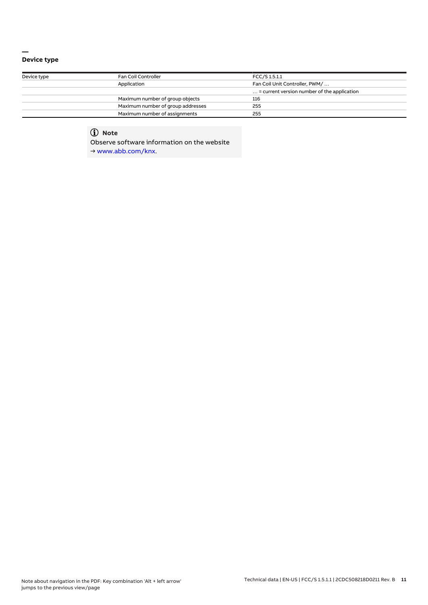## **— Device type**

| Device type | Fan Coil Controller               | FCC/S 1.5.1.1                                        |  |  |
|-------------|-----------------------------------|------------------------------------------------------|--|--|
|             | Application                       | Fan Coil Unit Controller, PWM/                       |  |  |
|             |                                   | $\ldots$ = current version number of the application |  |  |
|             | Maximum number of group objects   | 116                                                  |  |  |
|             | Maximum number of group addresses | 255                                                  |  |  |
|             | Maximum number of assignments     | 255                                                  |  |  |

# **Note**

Observe software information on the website

→ www.abb.com/knx.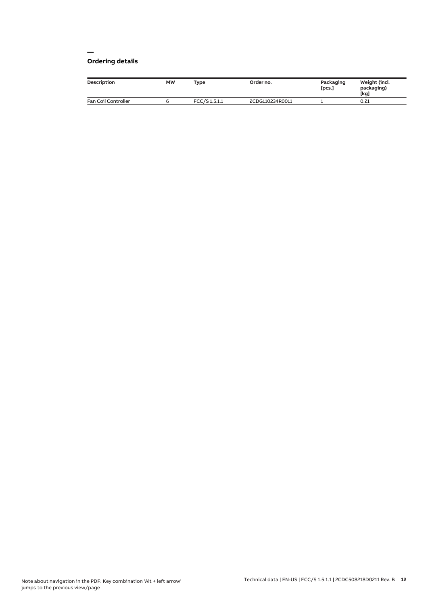## **— Ordering details**

| Description         | <b>MW</b> | Type         | Order no.       | Packaging<br>[pcs.] | Weight (incl.<br>packaging)<br>[kg] |
|---------------------|-----------|--------------|-----------------|---------------------|-------------------------------------|
| Fan Coil Controller |           | FCC/S1.5.1.1 | 2CDG110234R0011 |                     | 0.21                                |